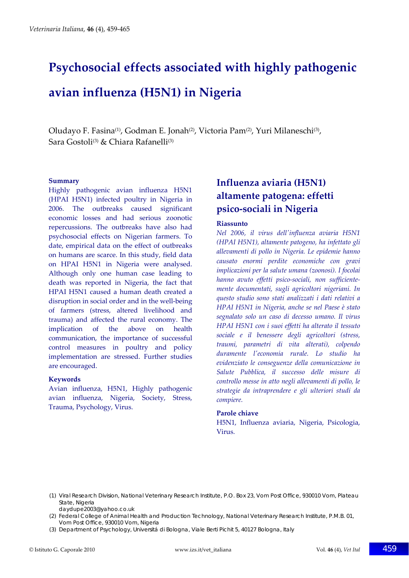# **Psychosocial effects associated with highly pathogenic avian influenza (H5N1) in Nigeria**

Oludayo F. Fasina<sup>(1)</sup>, Godman E. Jonah<sup>(2)</sup>, Victoria Pam<sup>(2)</sup>, Yuri Milaneschi<sup>(3)</sup>, Sara Gostoli<sup>(3)</sup> & Chiara Rafanelli<sup>(3)</sup>

#### **Summary**

Highly pathogenic avian influenza H5N1 (HPAI H5N1) infected poultry in Nigeria in 2006. The outbreaks caused significant economic losses and had serious zoonotic repercussions. The outbreaks have also had psychosocial effects on Nigerian farmers. To date, empirical data on the effect of outbreaks on humans are scarce. In this study, field data on HPAI H5N1 in Nigeria were analysed. Although only one human case leading to death was reported in Nigeria, the fact that HPAI H5N1 caused a human death created a disruption in social order and in the well‐being of farmers (stress, altered livelihood and trauma) and affected the rural economy. The implication of the above on health communication, the importance of successful control measures in poultry and policy implementation are stressed. Further studies are encouraged.

#### **Keywords**

Avian influenza, H5N1, Highly pathogenic avian influenza, Nigeria, Society, Stress, Trauma, Psychology, Virus.

# **Influenza aviaria (H5N1) altamente patogena: effetti psico‐sociali in Nigeria**

#### **Riassunto**

*Nel 2006, il virus dellʹinfluenza aviaria H5N1 (HPAI H5N1), altamente patogeno, ha infettato gli allevamenti di pollo in Nigeria. Le epidemie hanno causato enormi perdite economiche con gravi implicazioni per la salute umana (zoonosi). I focolai hanno avuto effetti psico‐sociali, non sufficiente‐ mente documentati, sugli agricoltori nigeriani. In questo studio sono stati analizzati i dati relativi a HPAI H5N1 in Nigeria, anche se nel Paese è stato segnalato solo un caso di decesso umano. Il virus HPAI H5N1 con i suoi effetti ha alterato il tessuto sociale e il benessere degli agricoltori (stress, traumi, parametri di vita alterati), colpendo duramente lʹeconomia rurale. Lo studio ha evidenziato le conseguenze della comunicazione in Salute Pubblica, il successo delle misure di controllo messe in atto negli allevamenti di pollo, le strategie da intraprendere e gli ulteriori studi da compiere.*

#### **Parole chiave**

H5N1, Influenza aviaria, Nigeria, Psicologia, Virus.

- (1) Viral Research Division, National Veterinary Research Institute, P.O. Box 23, Vom Post Office, 930010 Vom, Plateau State, Nigeria
- daydupe2003@yahoo.co.uk
- (2) Federal College of Animal Health and Production Technology, National Veterinary Research Institute, P.M.B. 01, Vom Post Office, 930010 Vom, Nigeria
- (3) Department of Psychology, Universitá di Bologna, Viale Berti Pichit 5, 40127 Bologna, Italy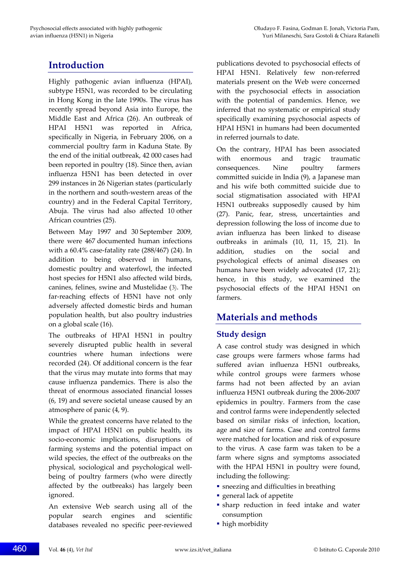# **Introduction**

Highly pathogenic avian influenza (HPAI), subtype H5N1, was recorded to be circulating in Hong Kong in the late 1990s. The virus has recently spread beyond Asia into Europe, the Middle East and Africa (26). An outbreak of HPAI H5N1 was reported in Africa, specifically in Nigeria, in February 2006, on a commercial poultry farm in Kaduna State. By the end of the initial outbreak, 42 000 cases had been reported in poultry (18). Since then, avian influenza H5N1 has been detected in over 299 instances in 26 Nigerian states (particularly in the northern and south‐western areas of the country) and in the Federal Capital Territory, Abuja. The virus had also affected 10 other African countries (25).

Between May 1997 and 30 September 2009, there were 467 documented human infections with a  $60.4\%$  case-fatality rate (288/467) (24). In addition to being observed in humans, domestic poultry and waterfowl, the infected host species for H5N1 also affected wild birds, canines, felines, swine and Mustelidae (3). The far-reaching effects of H5N1 have not only adversely affected domestic birds and human population health, but also poultry industries on a global scale (16).

The outbreaks of HPAI H5N1 in poultry severely disrupted public health in several countries where human infections were recorded (24). Of additional concern is the fear that the virus may mutate into forms that may cause influenza pandemics. There is also the threat of enormous associated financial losses (6, 19) and severe societal unease caused by an atmosphere of panic (4, 9).

While the greatest concerns have related to the impact of HPAI H5N1 on public health, its socio‐economic implications, disruptions of farming systems and the potential impact on wild species, the effect of the outbreaks on the physical, sociological and psychological well‐ being of poultry farmers (who were directly affected by the outbreaks) has largely been ignored.

An extensive Web search using all of the popular search engines and scientific databases revealed no specific peer‐reviewed

publications devoted to psychosocial effects of HPAI H5N1. Relatively few non-referred materials present on the Web were concerned with the psychosocial effects in association with the potential of pandemics. Hence, we inferred that no systematic or empirical study specifically examining psychosocial aspects of HPAI H5N1 in humans had been documented in referred journals to date.

On the contrary, HPAI has been associated with enormous and tragic traumatic consequences. Nine poultry farmers committed suicide in India (9), a Japanese man and his wife both committed suicide due to social stigmatisation associated with HPAI H5N1 outbreaks supposedly caused by him (27). Panic, fear, stress, uncertainties and depression following the loss of income due to avian influenza has been linked to disease outbreaks in animals (10, 11, 15, 21). In addition, studies on the social and psychological effects of animal diseases on humans have been widely advocated (17, 21); hence, in this study, we examined the psychosocial effects of the HPAI H5N1 on farmers.

# **Materials and methods**

## **Study design**

A case control study was designed in which case groups were farmers whose farms had suffered avian influenza H5N1 outbreaks, while control groups were farmers whose farms had not been affected by an avian influenza H5N1 outbreak during the 2006‐2007 epidemics in poultry. Farmers from the case and control farms were independently selected based on similar risks of infection, location, age and size of farms. Case and control farms were matched for location and risk of exposure to the virus. A case farm was taken to be a farm where signs and symptoms associated with the HPAI H5N1 in poultry were found, including the following:

- sneezing and difficulties in breathing
- general lack of appetite
- sharp reduction in feed intake and water consumption
- high morbidity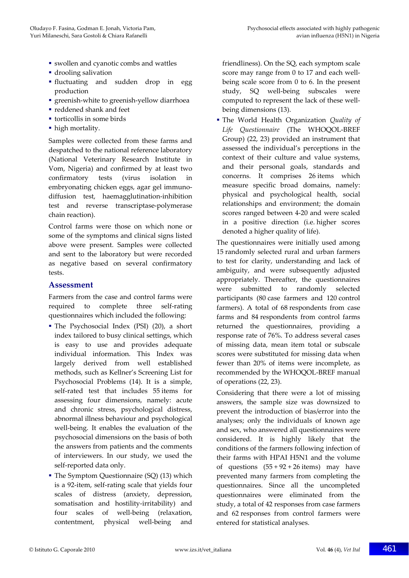- swollen and cyanotic combs and wattles
- drooling salivation
- fluctuating and sudden drop in egg production
- greenish-white to greenish-yellow diarrhoea
- reddened shank and feet
- torticollis in some birds
- high mortality.

Samples were collected from these farms and despatched to the national reference laboratory (National Veterinary Research Institute in Vom, Nigeria) and confirmed by at least two confirmatory tests (virus isolation in embryonating chicken eggs, agar gel immuno‐ diffusion test, haemagglutination‐inhibition test and reverse transcriptase‐polymerase chain reaction).

Control farms were those on which none or some of the symptoms and clinical signs listed above were present. Samples were collected and sent to the laboratory but were recorded as negative based on several confirmatory tests.

### **Assessment**

Farmers from the case and control farms were required to complete three self‐rating questionnaires which included the following:

- The Psychosocial Index (PSI) (20), a short index tailored to busy clinical settings, which is easy to use and provides adequate individual information. This Index was largely derived from well established methods, such as Kellner's Screening List for Psychosocial Problems (14). It is a simple, self-rated test that includes 55 items for assessing four dimensions, namely: acute and chronic stress, psychological distress, abnormal illness behaviour and psychological well‐being. It enables the evaluation of the psychosocial dimensions on the basis of both the answers from patients and the comments of interviewers. In our study, we used the self‐reported data only.
- The Symptom Questionnaire (SQ) (13) which is a 92‐item, self‐rating scale that yields four scales of distress (anxiety, depression, somatisation and hostility-irritability) and four scales of well‐being (relaxation, contentment, physical well‐being and

friendliness). On the SQ, each symptom scale score may range from 0 to 17 and each wellbeing scale score from 0 to 6. In the present study, SQ well‐being subscales were computed to represent the lack of these well‐ being dimensions (13).

 The World Health Organization *Quality of Life Questionnaire* (The WHOQOL‐BREF Group) (22, 23) provided an instrument that assessed the individual's perceptions in the context of their culture and value systems, and their personal goals, standards and concerns. It comprises 26 items which measure specific broad domains, namely: physical and psychological health, social relationships and environment; the domain scores ranged between 4‐20 and were scaled in a positive direction (i.e. higher scores denoted a higher quality of life).

The questionnaires were initially used among 15 randomly selected rural and urban farmers to test for clarity, understanding and lack of ambiguity, and were subsequently adjusted appropriately. Thereafter, the questionnaires were submitted to randomly selected participants (80 case farmers and 120 control farmers). A total of 68 respondents from case farms and 84 respondents from control farms returned the questionnaires, providing a response rate of 76%. To address several cases of missing data, mean item total or subscale scores were substituted for missing data when fewer than 20% of items were incomplete, as recommended by the WHOQOL‐BREF manual of operations (22, 23).

Considering that there were a lot of missing answers, the sample size was downsized to prevent the introduction of bias/error into the analyses; only the individuals of known age and sex, who answered all questionnaires were considered. It is highly likely that the conditions of the farmers following infection of their farms with HPAI H5N1 and the volume of questions  $(55 + 92 + 26$  items) may have prevented many farmers from completing the questionnaires. Since all the uncompleted questionnaires were eliminated from the study, a total of 42 responses from case farmers and 62 responses from control farmers were entered for statistical analyses.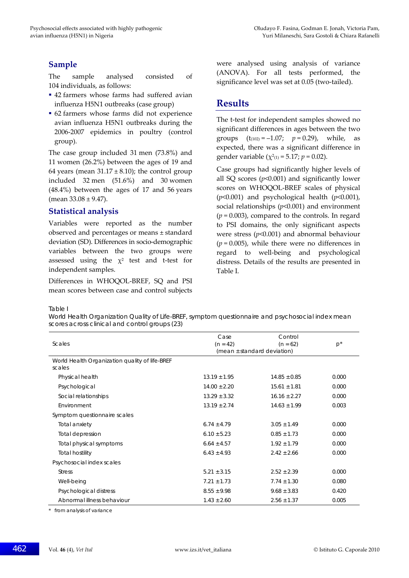## **Sample**

The sample analysed consisted of 104 individuals, as follows:

- 42 farmers whose farms had suffered avian influenza H5N1 outbreaks (case group)
- 62 farmers whose farms did not experience avian influenza H5N1 outbreaks during the 2006‐2007 epidemics in poultry (control group).

The case group included 31 men (73.8%) and 11 women (26.2%) between the ages of 19 and 64 years (mean  $31.17 \pm 8.10$ ); the control group included 32 men (51.6%) and 30 women (48.4%) between the ages of 17 and 56 years  $(mean 33.08 \pm 9.47).$ 

## **Statistical analysis**

Variables were reported as the number observed and percentages or means ± standard deviation (SD). Differences in socio‐demographic variables between the two groups were assessed using the  $\chi^2$  test and t-test for independent samples.

Differences in WHOQOL‐BREF, SQ and PSI mean scores between case and control subjects

were analysed using analysis of variance (ANOVA). For all tests performed, the significance level was set at 0.05 (two-tailed).

## **Results**

The t-test for independent samples showed no significant differences in ages between the two groups  $(t_{(102)} = -1.07; p = 0.29)$ , while, as expected, there was a significant difference in gender variable ( $\chi^2(1) = 5.17$ ;  $p = 0.02$ ).

Case groups had significantly higher levels of all SQ scores (*p*<0.001) and significantly lower scores on WHOQOL‐BREF scales of physical (*p*<0.001) and psychological health (*p*<0.001), social relationships (*p*<0.001) and environment  $(p = 0.003)$ , compared to the controls. In regard to PSI domains, the only significant aspects were stress (*p*<0.001) and abnormal behaviour  $(p = 0.005)$ , while there were no differences in regard to well‐being and psychological distress. Details of the results are presented in Table I.

Table I

World Health Organization Quality of Life-BREF, symptom questionnaire and psychosocial index mean scores across clinical and control groups (23)

| Scales                                                   | Case<br>$(n = 42)$ | Control<br>$(n = 62)$<br>(mean $\pm$ standard deviation) | $p^*$ |
|----------------------------------------------------------|--------------------|----------------------------------------------------------|-------|
| World Health Organization quality of life-BREF<br>scales |                    |                                                          |       |
| Physical health                                          | $13.19 \pm 1.95$   | $14.85 + 0.85$                                           | 0.000 |
| Psychological                                            | $14.00 \pm 2.20$   | $15.61 \pm 1.81$                                         | 0.000 |
| Social relationships                                     | $13.29 \pm 3.32$   | $16.16 \pm 2.27$                                         | 0.000 |
| Environment                                              | $13.19 \pm 2.74$   | $14.63 \pm 1.99$                                         | 0.003 |
| Symptom questionnaire scales                             |                    |                                                          |       |
| <b>Total anxiety</b>                                     | $6.74 + 4.79$      | $3.05 \pm 1.49$                                          | 0.000 |
| Total depression                                         | $6.10 + 5.23$      | $0.85 + 1.73$                                            | 0.000 |
| Total physical symptoms                                  | $6.64 \pm 4.57$    | $1.92 \pm 1.79$                                          | 0.000 |
| <b>Total hostility</b>                                   | $6.43 \pm 4.93$    | $2.42 + 2.66$                                            | 0.000 |
| Psychosocial index scales                                |                    |                                                          |       |
| <b>Stress</b>                                            | $5.21 \pm 3.15$    | $2.52 \pm 2.39$                                          | 0.000 |
| Well-being                                               | $7.21 \pm 1.73$    | $7.74 \pm 1.30$                                          | 0.080 |
| Psychological distress                                   | $8.55 \pm 9.98$    | $9.68 \pm 3.83$                                          | 0.420 |
| Abnormal illness behaviour                               | $1.43 \pm 2.60$    | $2.56 \pm 1.37$                                          | 0.005 |

\* from analysis of variance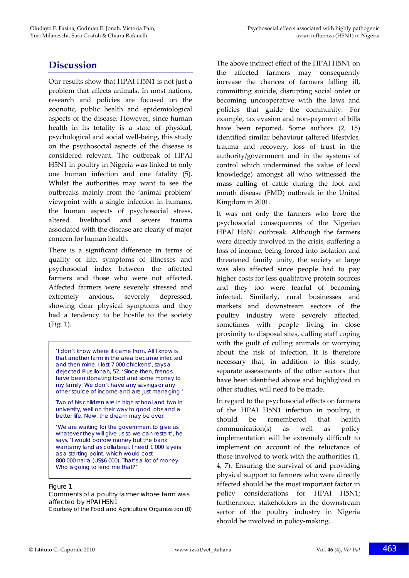# **Discussion**

Our results show that HPAI H5N1 is not just a problem that affects animals. In most nations, research and policies are focused on the zoonotic, public health and epidemiological aspects of the disease. However, since human health in its totality is a state of physical, psychological and social well‐being, this study on the psychosocial aspects of the disease is considered relevant. The outbreak of HPAI H5N1 in poultry in Nigeria was linked to only one human infection and one fatality (5). Whilst the authorities may want to see the outbreaks mainly from the 'animal problem' viewpoint with a single infection in humans, the human aspects of psychosocial stress, altered livelihood and severe trauma associated with the disease are clearly of major concern for human health.

There is a significant difference in terms of quality of life, symptoms of illnesses and psychosocial index between the affected farmers and those who were not affected. Affected farmers were severely stressed and extremely anxious, severely depressed, showing clear physical symptoms and they had a tendency to be hostile to the society (Fig. 1).

'I don't know where it came from. All I know is that another farm in the area became infected and then mine. I lost 7 000 chickens', says a dejected Pius Ilonah, 52. 'Since then, friends have been donating food and some money to my family. We don't have any savings or any other source of income and are just managing.'

Two of his children are in high school and two in university, well on their way to good jobs and a better life. Now, the dream may be over.

'We are waiting for the government to give us whatever they will give us so we can restart', he says. 'I would borrow money but the bank wants my land as collateral. I need 1 000 layers as a starting point, which would cost 800 000 naira (US\$6 000). That's a lot of money. Who is going to lend me that?'

#### Figure 1

Comments of a poultry farmer whose farm was affected by HPAI H5N1

Courtesy of the Food and Agriculture Organization (8)

The above indirect effect of the HPAI H5N1 on the affected farmers may consequently increase the chances of farmers falling ill, committing suicide, disrupting social order or becoming uncooperative with the laws and policies that guide the community. For example, tax evasion and non‐payment of bills have been reported. Some authors (2, 15) identified similar behaviour (altered lifestyles, trauma and recovery, loss of trust in the authority/government and in the systems of control which undermined the value of local knowledge) amongst all who witnessed the mass culling of cattle during the foot and mouth disease (FMD) outbreak in the United Kingdom in 2001.

It was not only the farmers who bore the psychosocial consequences of the Nigerian HPAI H5N1 outbreak. Although the farmers were directly involved in the crisis, suffering a loss of income, being forced into isolation and threatened family unity, the society at large was also affected since people had to pay higher costs for less qualitative protein sources and they too were fearful of becoming infected. Similarly, rural businesses and markets and downstream sectors of the poultry industry were severely affected, sometimes with people living in close proximity to disposal sites, culling staff coping with the guilt of culling animals or worrying about the risk of infection. It is therefore necessary that, in addition to this study, separate assessments of the other sectors that have been identified above and highlighted in other studies, will need to be made.

In regard to the psychosocial effects on farmers of the HPAI H5N1 infection in poultry, it should be remembered that health communication(s) as well as policy implementation will be extremely difficult to implement on account of the reluctance of those involved to work with the authorities (1, 4, 7). Ensuring the survival of and providing physical support to farmers who were directly affected should be the most important factor in policy considerations for HPAI H5N1; furthermore, stakeholders in the downstream sector of the poultry industry in Nigeria should be involved in policy‐making.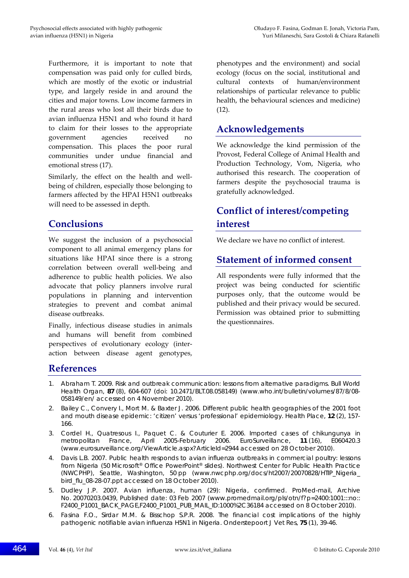Furthermore, it is important to note that compensation was paid only for culled birds, which are mostly of the exotic or industrial type, and largely reside in and around the cities and major towns. Low income farmers in the rural areas who lost all their birds due to avian influenza H5N1 and who found it hard to claim for their losses to the appropriate government agencies received no compensation. This places the poor rural communities under undue financial and emotional stress (17).

Similarly, the effect on the health and wellbeing of children, especially those belonging to farmers affected by the HPAI H5N1 outbreaks will need to be assessed in depth.

## **Conclusions**

We suggest the inclusion of a psychosocial component to all animal emergency plans for situations like HPAI since there is a strong correlation between overall well‐being and adherence to public health policies. We also advocate that policy planners involve rural populations in planning and intervention strategies to prevent and combat animal disease outbreaks.

Finally, infectious disease studies in animals and humans will benefit from combined perspectives of evolutionary ecology (inter‐ action between disease agent genotypes, phenotypes and the environment) and social ecology (focus on the social, institutional and cultural contexts of human/environment relationships of particular relevance to public health, the behavioural sciences and medicine) (12).

## **Acknowledgements**

We acknowledge the kind permission of the Provost, Federal College of Animal Health and Production Technology, Vom, Nigeria, who authorised this research. The cooperation of farmers despite the psychosocial trauma is gratefully acknowledged.

# **Conflict of interest/competing interest**

We declare we have no conflict of interest.

## **Statement of informed consent**

All respondents were fully informed that the project was being conducted for scientific purposes only, that the outcome would be published and their privacy would be secured. Permission was obtained prior to submitting the questionnaires.

## **References**

- 1. Abraham T. 2009. Risk and outbreak communication: lessons from alternative paradigms. *Bull World Health Organ*, **87** (8), 604-607 (doi: 10.2471/BLT.08.058149) (www.who.int/bulletin/volumes/87/8/08- 058149/en/ accessed on 4 November 2010).
- 2. Bailey C., Convery I., Mort M. & Baxter J. 2006. Different public health geographies of the 2001 foot and mouth disease epidemic: 'citizen' versus 'professional' epidemiology. *Health Place*, **12** (2), 157- 166.
- 3. Cordel H., Quatresous I., Paquet C. & Couturier E. 2006. Imported cases of chikungunya in metropolitan France, April 2005-February 2006. *EuroSurveillance*, **11** (16), E060420.3 (www.eurosurveillance.org/ViewArticle.aspx?ArticleId=2944 accessed on 28 October 2010).
- 4. Davis L.B. 2007. Public health responds to avian influenza outbreaks in commercial poultry: lessons from Nigeria (50 Microsoft® Office PowerPoint® slides). Northwest Center for Public Health Practice (NWCPHP), Seattle, Washington, 50 pp (www.nwcphp.org/docs/ht2007/20070828/HTIP\_Nigeria\_ bird\_flu\_08-28-07.ppt accessed on 18 October 2010).
- 5. Dudley J.P. 2007. Avian influenza, human (29): Nigeria, confirmed. ProMed-mail, Archive No. 20070203.0439, Published date: 03 Feb 2007 (www.promedmail.org/pls/otn/f?p=2400:1001:::no:: F2400\_P1001\_BACK\_PAGE,F2400\_P1001\_PUB\_MAIL\_ID:1000%2C36184 accessed on 8 October 2010).
- 6. Fasina F.O., Sirdar M.M. & Bisschop S.P.R. 2008. The financial cost implications of the highly pathogenic notifiable avian influenza H5N1 in Nigeria. *Onderstepoort J Vet Res,* **75** (1), 39-46.